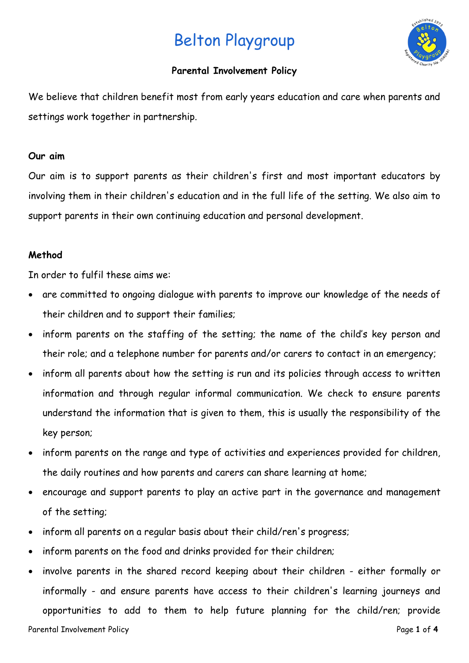# Belton Playgroup



## **Parental Involvement Policy**

We believe that children benefit most from early years education and care when parents and settings work together in partnership.

### **Our aim**

Our aim is to support parents as their children's first and most important educators by involving them in their children's education and in the full life of the setting. We also aim to support parents in their own continuing education and personal development.

## **Method**

In order to fulfil these aims we:

- are committed to ongoing dialogue with parents to improve our knowledge of the needs of their children and to support their families;
- inform parents on the staffing of the setting; the name of the child's key person and their role; and a telephone number for parents and/or carers to contact in an emergency;
- inform all parents about how the setting is run and its policies through access to written information and through regular informal communication. We check to ensure parents understand the information that is given to them, this is usually the responsibility of the key person;
- inform parents on the range and type of activities and experiences provided for children, the daily routines and how parents and carers can share learning at home;
- encourage and support parents to play an active part in the governance and management of the setting;
- inform all parents on a regular basis about their child/ren's progress;
- inform parents on the food and drinks provided for their children;
- involve parents in the shared record keeping about their children either formally or informally - and ensure parents have access to their children's learning journeys and opportunities to add to them to help future planning for the child/ren; provide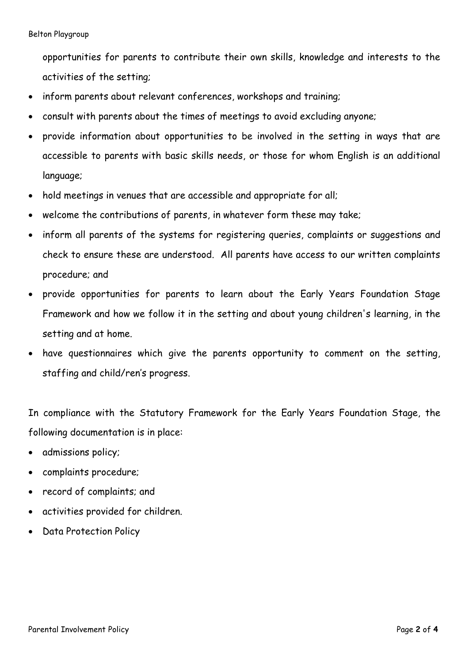opportunities for parents to contribute their own skills, knowledge and interests to the activities of the setting;

- inform parents about relevant conferences, workshops and training;
- consult with parents about the times of meetings to avoid excluding anyone;
- provide information about opportunities to be involved in the setting in ways that are accessible to parents with basic skills needs, or those for whom English is an additional language;
- hold meetings in venues that are accessible and appropriate for all;
- welcome the contributions of parents, in whatever form these may take;
- inform all parents of the systems for registering queries, complaints or suggestions and check to ensure these are understood. All parents have access to our written complaints procedure; and
- provide opportunities for parents to learn about the Early Years Foundation Stage Framework and how we follow it in the setting and about young children's learning, in the setting and at home.
- have questionnaires which give the parents opportunity to comment on the setting, staffing and child/ren's progress.

In compliance with the Statutory Framework for the Early Years Foundation Stage, the following documentation is in place:

- admissions policy;
- complaints procedure;
- record of complaints; and
- activities provided for children.
- Data Protection Policy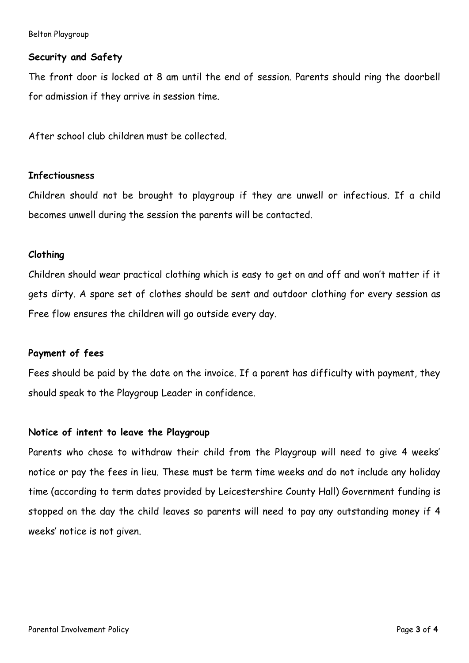Belton Playgroup

#### **Security and Safety**

The front door is locked at 8 am until the end of session. Parents should ring the doorbell for admission if they arrive in session time.

After school club children must be collected.

#### **Infectiousness**

Children should not be brought to playgroup if they are unwell or infectious. If a child becomes unwell during the session the parents will be contacted.

#### **Clothing**

Children should wear practical clothing which is easy to get on and off and won't matter if it gets dirty. A spare set of clothes should be sent and outdoor clothing for every session as Free flow ensures the children will go outside every day.

#### **Payment of fees**

Fees should be paid by the date on the invoice. If a parent has difficulty with payment, they should speak to the Playgroup Leader in confidence.

#### **Notice of intent to leave the Playgroup**

Parents who chose to withdraw their child from the Playgroup will need to give 4 weeks' notice or pay the fees in lieu. These must be term time weeks and do not include any holiday time (according to term dates provided by Leicestershire County Hall) Government funding is stopped on the day the child leaves so parents will need to pay any outstanding money if 4 weeks' notice is not given.